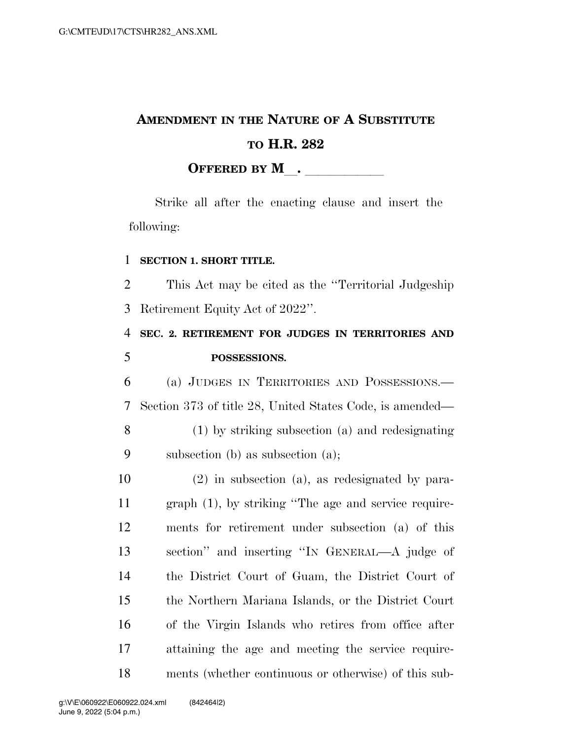## **AMENDMENT IN THE NATURE OF A SUBSTITUTE TO H.R. 282 OFFERED BY M**.

Strike all after the enacting clause and insert the following:

## **SECTION 1. SHORT TITLE.**

 This Act may be cited as the ''Territorial Judgeship Retirement Equity Act of 2022''.

 **SEC. 2. RETIREMENT FOR JUDGES IN TERRITORIES AND POSSESSIONS.** 

 (a) JUDGES IN TERRITORIES AND POSSESSIONS.— Section 373 of title 28, United States Code, is amended—

 (1) by striking subsection (a) and redesignating subsection (b) as subsection (a);

 (2) in subsection (a), as redesignated by para- graph (1), by striking ''The age and service require- ments for retirement under subsection (a) of this section'' and inserting ''IN GENERAL—A judge of the District Court of Guam, the District Court of the Northern Mariana Islands, or the District Court of the Virgin Islands who retires from office after attaining the age and meeting the service require-ments (whether continuous or otherwise) of this sub-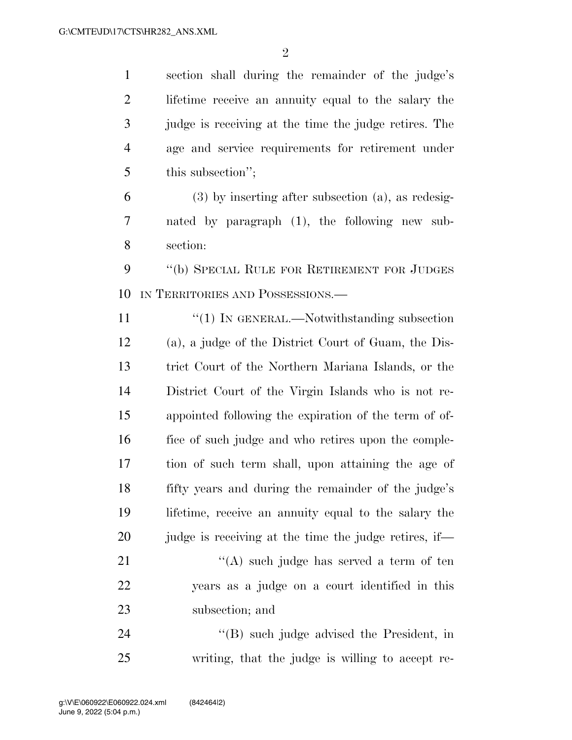section shall during the remainder of the judge's lifetime receive an annuity equal to the salary the judge is receiving at the time the judge retires. The age and service requirements for retirement under this subsection'';

 (3) by inserting after subsection (a), as redesig- nated by paragraph (1), the following new sub-section:

 ''(b) SPECIAL RULE FOR RETIREMENT FOR JUDGES IN TERRITORIES AND POSSESSIONS.—

11 "(1) IN GENERAL.—Notwithstanding subsection (a), a judge of the District Court of Guam, the Dis- trict Court of the Northern Mariana Islands, or the District Court of the Virgin Islands who is not re- appointed following the expiration of the term of of- fice of such judge and who retires upon the comple- tion of such term shall, upon attaining the age of fifty years and during the remainder of the judge's lifetime, receive an annuity equal to the salary the 20 judge is receiving at the time the judge retires, if—

21 ''(A) such judge has served a term of ten years as a judge on a court identified in this subsection; and

24 ''(B) such judge advised the President, in writing, that the judge is willing to accept re-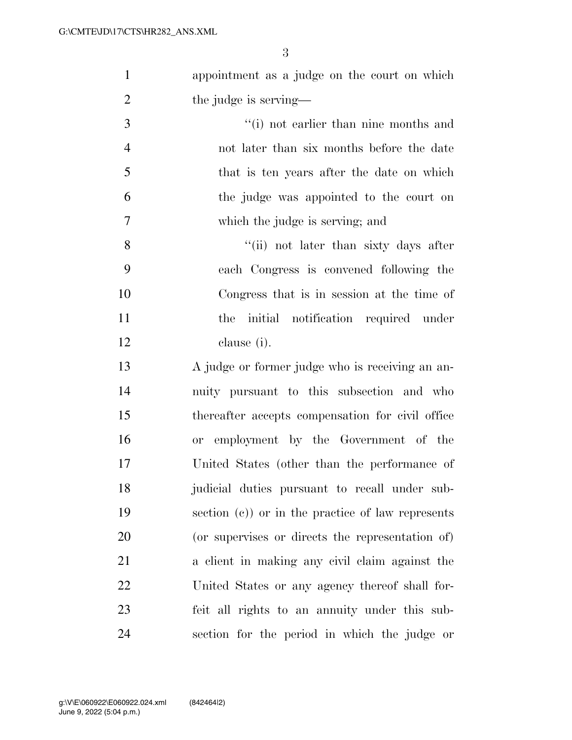| $\mathbf{1}$   | appointment as a judge on the court on which       |
|----------------|----------------------------------------------------|
| $\overline{2}$ | the judge is serving—                              |
| 3              | "(i) not earlier than nine months and              |
| $\overline{4}$ | not later than six months before the date          |
| 5              | that is ten years after the date on which          |
| 6              | the judge was appointed to the court on            |
| $\tau$         | which the judge is serving; and                    |
| 8              | "(ii) not later than sixty days after              |
| 9              | each Congress is convened following the            |
| 10             | Congress that is in session at the time of         |
| 11             | the initial notification required under            |
| 12             | clause (i).                                        |
| 13             | A judge or former judge who is receiving an an-    |
| 14             | nuity pursuant to this subsection and who          |
| 15             | thereafter accepts compensation for civil office   |
| 16             | or employment by the Government of the             |
| 17             | United States (other than the performance of       |
| 18             | judicial duties pursuant to recall under sub-      |
| 19             | section $(c)$ or in the practice of law represents |
| 20             | (or supervises or directs the representation of)   |
| 21             | a client in making any civil claim against the     |
| 22             | United States or any agency thereof shall for-     |
| 23             | feit all rights to an annuity under this sub-      |
| 24             | section for the period in which the judge or       |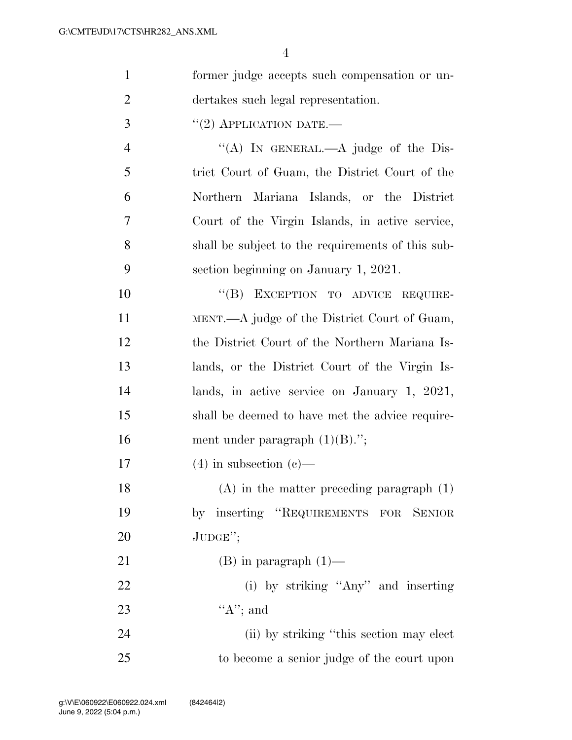| $\mathbf{1}$   | former judge accepts such compensation or un-     |
|----------------|---------------------------------------------------|
| $\overline{2}$ | dertakes such legal representation.               |
| 3              | $``(2)$ APPLICATION DATE.—                        |
| $\overline{4}$ | "(A) IN GENERAL.—A judge of the Dis-              |
| 5              | trict Court of Guam, the District Court of the    |
| 6              | Northern Mariana Islands, or the District         |
| 7              | Court of the Virgin Islands, in active service,   |
| 8              | shall be subject to the requirements of this sub- |
| 9              | section beginning on January 1, 2021.             |
| 10             | "(B) EXCEPTION TO ADVICE REQUIRE-                 |
| 11             | MENT.—A judge of the District Court of Guam,      |
| 12             | the District Court of the Northern Mariana Is-    |
| 13             | lands, or the District Court of the Virgin Is-    |
| 14             | lands, in active service on January 1, 2021,      |
| 15             | shall be deemed to have met the advice require-   |
| 16             | ment under paragraph $(1)(B)$ .";                 |
| 17             | $(4)$ in subsection $(e)$ —                       |
| 18             | $(A)$ in the matter preceding paragraph $(1)$     |
| 19             | by inserting "REQUIREMENTS FOR SENIOR             |
| 20             | JUDGE";                                           |
| 21             | $(B)$ in paragraph $(1)$ —                        |
| 22             | (i) by striking "Any" and inserting               |
| 23             | " $A$ "; and                                      |
| 24             | (ii) by striking "this section may elect          |
| 25             | to become a senior judge of the court upon        |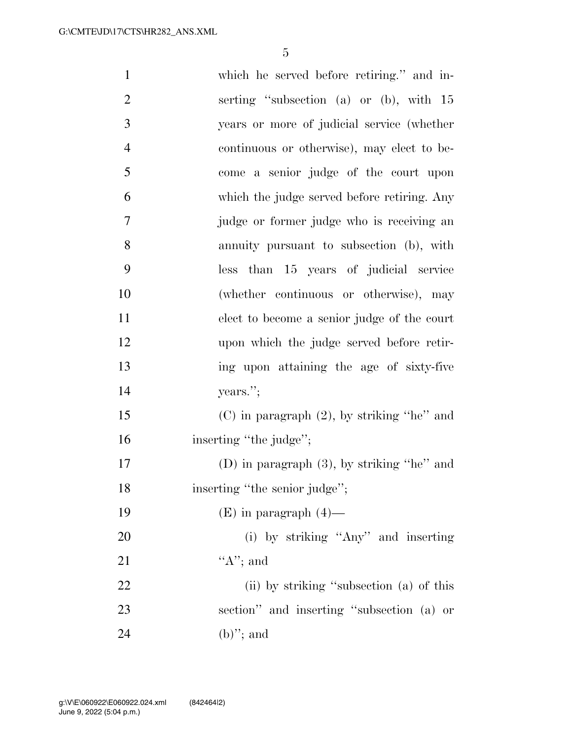| $\mathbf{1}$   | which he served before retiring." and in-       |
|----------------|-------------------------------------------------|
| $\overline{2}$ | serting "subsection (a) or (b), with 15         |
| 3              | years or more of judicial service (whether      |
| $\overline{4}$ | continuous or otherwise), may elect to be-      |
| 5              | come a senior judge of the court upon           |
| 6              | which the judge served before retiring. Any     |
| $\tau$         | judge or former judge who is receiving an       |
| 8              | annuity pursuant to subsection (b), with        |
| 9              | less than 15 years of judicial service          |
| 10             | (whether continuous or otherwise), may          |
| 11             | elect to become a senior judge of the court     |
| 12             | upon which the judge served before retir-       |
| 13             | ing upon attaining the age of sixty-five        |
| 14             | years.";                                        |
| 15             | $(C)$ in paragraph $(2)$ , by striking "he" and |
| 16             | inserting "the judge";                          |
| 17             | (D) in paragraph $(3)$ , by striking "he" and   |
| 18             | inserting "the senior judge";                   |
| 19             | $(E)$ in paragraph $(4)$ —                      |
| 20             | (i) by striking "Any" and inserting             |
| 21             | $A$ "; and                                      |
| 22             | (ii) by striking "subsection (a) of this        |
| 23             | section" and inserting "subsection (a) or       |
| 24             | $(b)$ "; and                                    |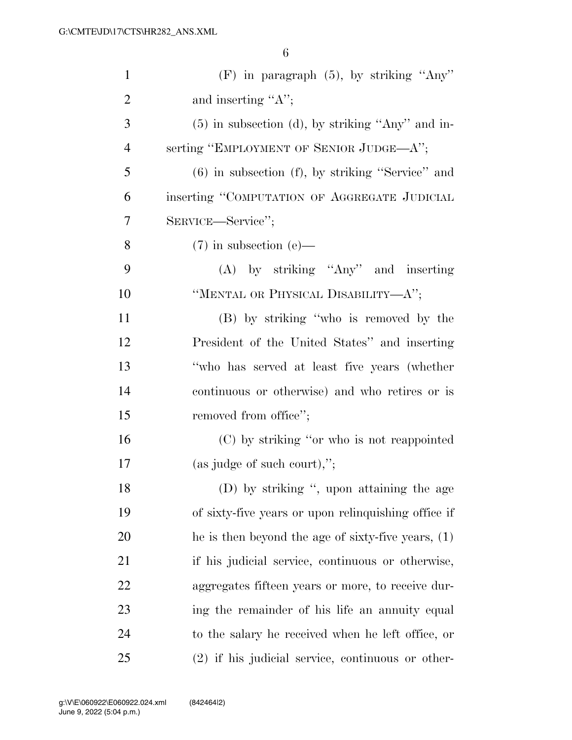| $\mathbf{1}$   | $(F)$ in paragraph $(5)$ , by striking "Any"          |
|----------------|-------------------------------------------------------|
| $\overline{2}$ | and inserting " $A$ ";                                |
| 3              | $(5)$ in subsection (d), by striking "Any" and in-    |
| $\overline{4}$ | serting "EMPLOYMENT OF SENIOR JUDGE—A";               |
| 5              | $(6)$ in subsection $(f)$ , by striking "Service" and |
| 6              | inserting "COMPUTATION OF AGGREGATE JUDICIAL          |
| 7              | SERVICE-Service";                                     |
| 8              | $(7)$ in subsection (e)—                              |
| 9              | $(A)$ by striking "Any" and inserting                 |
| 10             | "MENTAL OR PHYSICAL DISABILITY—A";                    |
| 11             | (B) by striking "who is removed by the                |
| 12             | President of the United States" and inserting         |
| 13             | "who has served at least five years (whether          |
| 14             | continuous or otherwise) and who retires or is        |
| 15             | removed from office";                                 |
| 16             | (C) by striking "or who is not reappointed            |
| 17             | $(as\; judge\; of\; such\; court),";$                 |
| 18             | (D) by striking ", upon attaining the age             |
| 19             | of sixty-five years or upon relinquishing office if   |
| 20             | he is then beyond the age of sixty-five years, $(1)$  |
| 21             | if his judicial service, continuous or otherwise,     |
| 22             | aggregates fifteen years or more, to receive dur-     |
| 23             | ing the remainder of his life an annuity equal        |
| 24             | to the salary he received when he left office, or     |
| 25             | $(2)$ if his judicial service, continuous or other-   |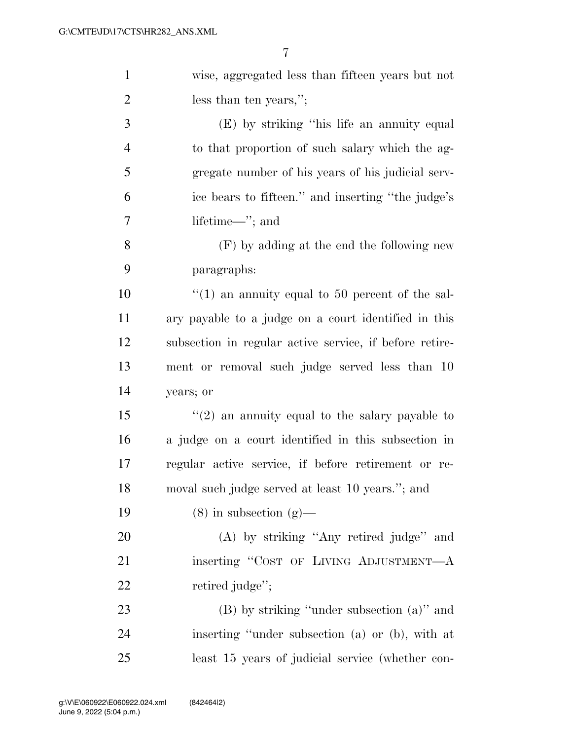| $\mathbf{1}$   | wise, aggregated less than fifteen years but not                |
|----------------|-----------------------------------------------------------------|
| $\overline{2}$ | less than ten years,";                                          |
| 3              | (E) by striking "his life an annuity equal                      |
| $\overline{4}$ | to that proportion of such salary which the ag-                 |
| 5              | gregate number of his years of his judicial serv-               |
| 6              | ice bears to fifteen." and inserting "the judge's               |
| 7              | lifetime—"; and                                                 |
| 8              | $(F)$ by adding at the end the following new                    |
| 9              | paragraphs:                                                     |
| 10             | $\cdot\cdot\cdot(1)$ an annuity equal to 50 percent of the sal- |
| 11             | ary payable to a judge on a court identified in this            |
| 12             | subsection in regular active service, if before retire-         |
| 13             | ment or removal such judge served less than 10                  |
| 14             | years; or                                                       |
| 15             | $\lq(2)$ an annuity equal to the salary payable to              |
| 16             | a judge on a court identified in this subsection in             |
| 17             | regular active service, if before retirement or re-             |
| 18             | moval such judge served at least 10 years."; and                |
| 19             | $(8)$ in subsection $(g)$ —                                     |
| 20             | (A) by striking "Any retired judge" and                         |
| 21             | inserting "COST OF LIVING ADJUSTMENT-A                          |
| 22             | retired judge";                                                 |
| 23             | $(B)$ by striking "under subsection $(a)$ " and                 |
| 24             | inserting "under subsection (a) or (b), with at                 |
| 25             | least 15 years of judicial service (whether con-                |